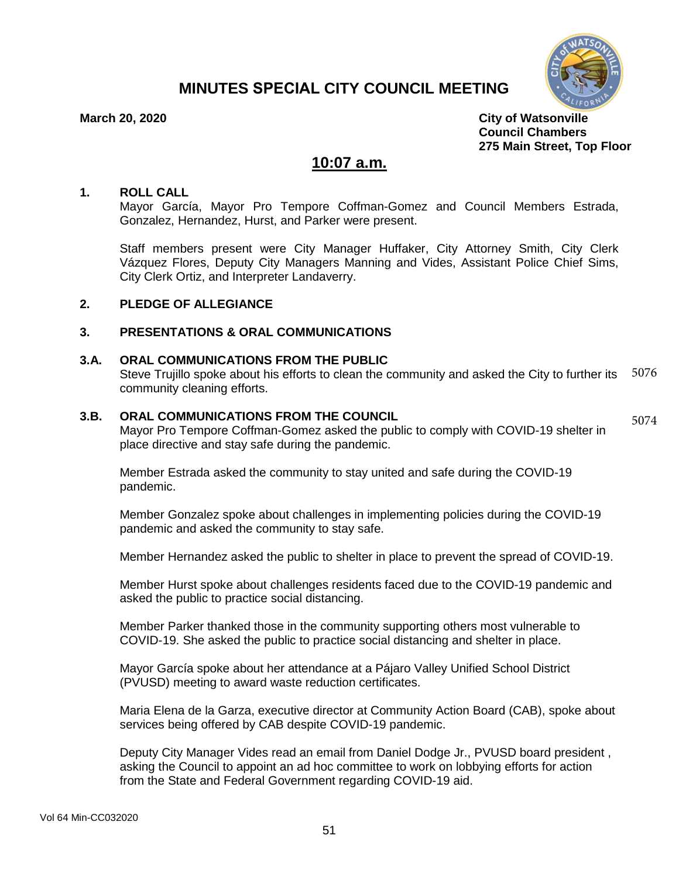# **MINUTES SPECIAL CITY COUNCIL MEETING**



5074

**March 20, 2020 City of Watsonville Council Chambers 275 Main Street, Top Floor**

## **10:07 a.m.**

#### **1. ROLL CALL**

Mayor García, Mayor Pro Tempore Coffman-Gomez and Council Members Estrada, Gonzalez, Hernandez, Hurst, and Parker were present.

Staff members present were City Manager Huffaker, City Attorney Smith, City Clerk Vázquez Flores, Deputy City Managers Manning and Vides, Assistant Police Chief Sims, City Clerk Ortiz, and Interpreter Landaverry.

## **2. PLEDGE OF ALLEGIANCE**

#### **3. PRESENTATIONS & ORAL COMMUNICATIONS**

#### **3.A. ORAL COMMUNICATIONS FROM THE PUBLIC**

Steve Trujillo spoke about his efforts to clean the community and asked the City to further its community cleaning efforts. 5076

#### **3.B. ORAL COMMUNICATIONS FROM THE COUNCIL**

Mayor Pro Tempore Coffman-Gomez asked the public to comply with COVID-19 shelter in place directive and stay safe during the pandemic.

Member Estrada asked the community to stay united and safe during the COVID-19 pandemic.

Member Gonzalez spoke about challenges in implementing policies during the COVID-19 pandemic and asked the community to stay safe.

Member Hernandez asked the public to shelter in place to prevent the spread of COVID-19.

Member Hurst spoke about challenges residents faced due to the COVID-19 pandemic and asked the public to practice social distancing.

Member Parker thanked those in the community supporting others most vulnerable to COVID-19. She asked the public to practice social distancing and shelter in place.

Mayor García spoke about her attendance at a Pájaro Valley Unified School District (PVUSD) meeting to award waste reduction certificates.

Maria Elena de la Garza, executive director at Community Action Board (CAB), spoke about services being offered by CAB despite COVID-19 pandemic.

Deputy City Manager Vides read an email from Daniel Dodge Jr., PVUSD board president , asking the Council to appoint an ad hoc committee to work on lobbying efforts for action from the State and Federal Government regarding COVID-19 aid.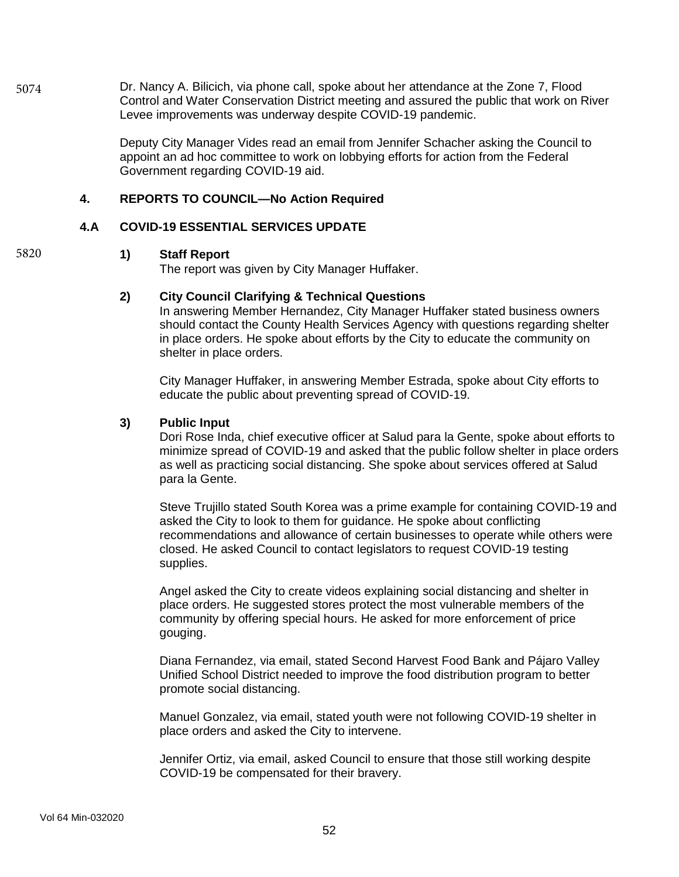Dr. Nancy A. Bilicich, via phone call, spoke about her attendance at the Zone 7, Flood Control and Water Conservation District meeting and assured the public that work on River Levee improvements was underway despite COVID-19 pandemic. 5074

> Deputy City Manager Vides read an email from Jennifer Schacher asking the Council to appoint an ad hoc committee to work on lobbying efforts for action from the Federal Government regarding COVID-19 aid.

### **4. REPORTS TO COUNCIL—No Action Required**

#### **4.A COVID-19 ESSENTIAL SERVICES UPDATE**

#### **1) Staff Report**

5820

The report was given by City Manager Huffaker.

#### **2) City Council Clarifying & Technical Questions**

In answering Member Hernandez, City Manager Huffaker stated business owners should contact the County Health Services Agency with questions regarding shelter in place orders. He spoke about efforts by the City to educate the community on shelter in place orders.

City Manager Huffaker, in answering Member Estrada, spoke about City efforts to educate the public about preventing spread of COVID-19.

#### **3) Public Input**

Dori Rose Inda, chief executive officer at Salud para la Gente, spoke about efforts to minimize spread of COVID-19 and asked that the public follow shelter in place orders as well as practicing social distancing. She spoke about services offered at Salud para la Gente.

Steve Trujillo stated South Korea was a prime example for containing COVID-19 and asked the City to look to them for guidance. He spoke about conflicting recommendations and allowance of certain businesses to operate while others were closed. He asked Council to contact legislators to request COVID-19 testing supplies.

Angel asked the City to create videos explaining social distancing and shelter in place orders. He suggested stores protect the most vulnerable members of the community by offering special hours. He asked for more enforcement of price gouging.

Diana Fernandez, via email, stated Second Harvest Food Bank and Pájaro Valley Unified School District needed to improve the food distribution program to better promote social distancing.

Manuel Gonzalez, via email, stated youth were not following COVID-19 shelter in place orders and asked the City to intervene.

Jennifer Ortiz, via email, asked Council to ensure that those still working despite COVID-19 be compensated for their bravery.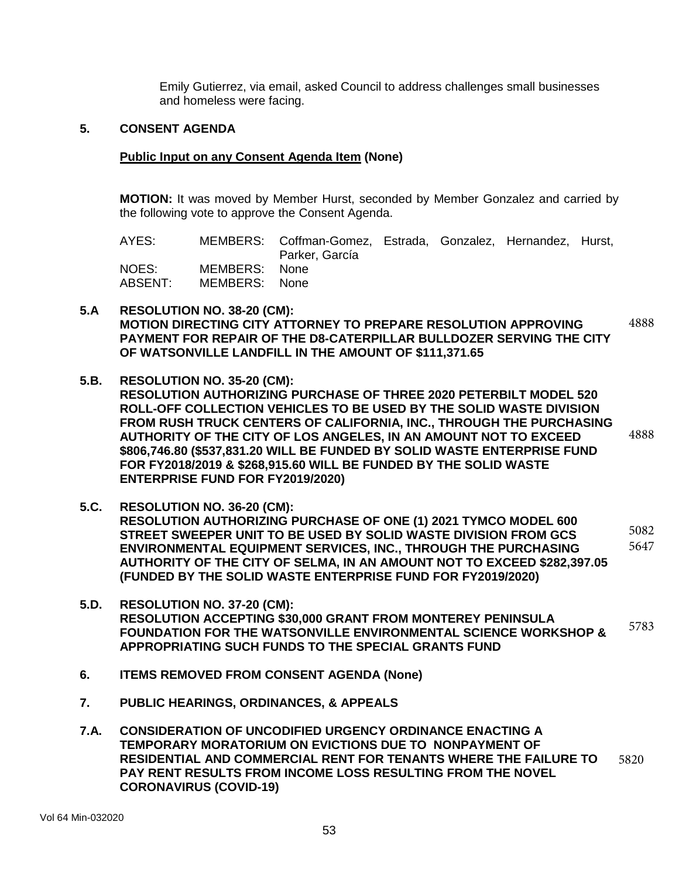Emily Gutierrez, via email, asked Council to address challenges small businesses and homeless were facing.

### **5. CONSENT AGENDA**

#### **Public Input on any Consent Agenda Item (None)**

**MOTION:** It was moved by Member Hurst, seconded by Member Gonzalez and carried by the following vote to approve the Consent Agenda.

| AYES:            |                                | MEMBERS: Coffman-Gomez, Estrada, Gonzalez, Hernandez, Hurst,<br>Parker, García |  |  |
|------------------|--------------------------------|--------------------------------------------------------------------------------|--|--|
| NOES:<br>ABSENT: | MEMBERS: None<br>MEMBERS: None |                                                                                |  |  |

- **5.A RESOLUTION NO. 38-20 (CM): MOTION DIRECTING CITY ATTORNEY TO PREPARE RESOLUTION APPROVING PAYMENT FOR REPAIR OF THE D8-CATERPILLAR BULLDOZER SERVING THE CITY OF WATSONVILLE LANDFILL IN THE AMOUNT OF \$111,371.65** 4888
- **5.B. RESOLUTION NO. 35-20 (CM): RESOLUTION AUTHORIZING PURCHASE OF THREE 2020 PETERBILT MODEL 520 ROLL-OFF COLLECTION VEHICLES TO BE USED BY THE SOLID WASTE DIVISION FROM RUSH TRUCK CENTERS OF CALIFORNIA, INC., THROUGH THE PURCHASING AUTHORITY OF THE CITY OF LOS ANGELES, IN AN AMOUNT NOT TO EXCEED \$806,746.80 (\$537,831.20 WILL BE FUNDED BY SOLID WASTE ENTERPRISE FUND FOR FY2018/2019 & \$268,915.60 WILL BE FUNDED BY THE SOLID WASTE ENTERPRISE FUND FOR FY2019/2020)** 4888
- **5.C. RESOLUTION NO. 36-20 (CM): RESOLUTION AUTHORIZING PURCHASE OF ONE (1) 2021 TYMCO MODEL 600 STREET SWEEPER UNIT TO BE USED BY SOLID WASTE DIVISION FROM GCS ENVIRONMENTAL EQUIPMENT SERVICES, INC., THROUGH THE PURCHASING AUTHORITY OF THE CITY OF SELMA, IN AN AMOUNT NOT TO EXCEED \$282,397.05 (FUNDED BY THE SOLID WASTE ENTERPRISE FUND FOR FY2019/2020)** 5082 5647
- **5.D. RESOLUTION NO. 37-20 (CM): RESOLUTION ACCEPTING \$30,000 GRANT FROM MONTEREY PENINSULA FOUNDATION FOR THE WATSONVILLE ENVIRONMENTAL SCIENCE WORKSHOP & APPROPRIATING SUCH FUNDS TO THE SPECIAL GRANTS FUND** 5783
- **6. ITEMS REMOVED FROM CONSENT AGENDA (None)**
- **7. PUBLIC HEARINGS, ORDINANCES, & APPEALS**
- **7.A. CONSIDERATION OF UNCODIFIED URGENCY ORDINANCE ENACTING A TEMPORARY MORATORIUM ON EVICTIONS DUE TO NONPAYMENT OF RESIDENTIAL AND COMMERCIAL RENT FOR TENANTS WHERE THE FAILURE TO PAY RENT RESULTS FROM INCOME LOSS RESULTING FROM THE NOVEL CORONAVIRUS (COVID-19)** 5820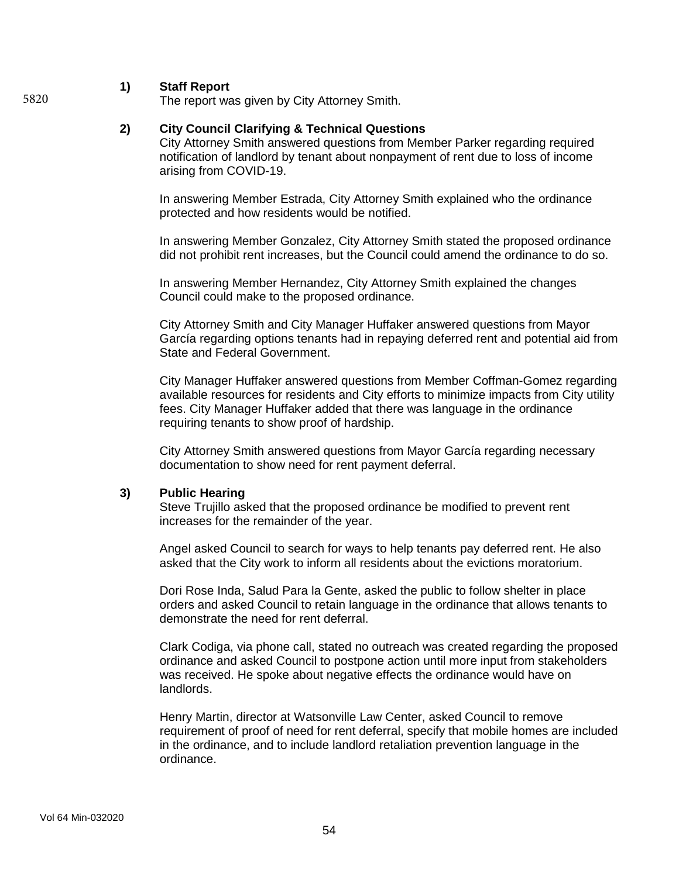#### **1) Staff Report**

The report was given by City Attorney Smith.

#### **2) City Council Clarifying & Technical Questions**

City Attorney Smith answered questions from Member Parker regarding required notification of landlord by tenant about nonpayment of rent due to loss of income arising from COVID-19.

In answering Member Estrada, City Attorney Smith explained who the ordinance protected and how residents would be notified.

In answering Member Gonzalez, City Attorney Smith stated the proposed ordinance did not prohibit rent increases, but the Council could amend the ordinance to do so.

In answering Member Hernandez, City Attorney Smith explained the changes Council could make to the proposed ordinance.

City Attorney Smith and City Manager Huffaker answered questions from Mayor García regarding options tenants had in repaying deferred rent and potential aid from State and Federal Government.

City Manager Huffaker answered questions from Member Coffman-Gomez regarding available resources for residents and City efforts to minimize impacts from City utility fees. City Manager Huffaker added that there was language in the ordinance requiring tenants to show proof of hardship.

City Attorney Smith answered questions from Mayor García regarding necessary documentation to show need for rent payment deferral.

#### **3) Public Hearing**

Steve Trujillo asked that the proposed ordinance be modified to prevent rent increases for the remainder of the year.

Angel asked Council to search for ways to help tenants pay deferred rent. He also asked that the City work to inform all residents about the evictions moratorium.

Dori Rose Inda, Salud Para la Gente, asked the public to follow shelter in place orders and asked Council to retain language in the ordinance that allows tenants to demonstrate the need for rent deferral.

Clark Codiga, via phone call, stated no outreach was created regarding the proposed ordinance and asked Council to postpone action until more input from stakeholders was received. He spoke about negative effects the ordinance would have on landlords.

Henry Martin, director at Watsonville Law Center, asked Council to remove requirement of proof of need for rent deferral, specify that mobile homes are included in the ordinance, and to include landlord retaliation prevention language in the ordinance.

5820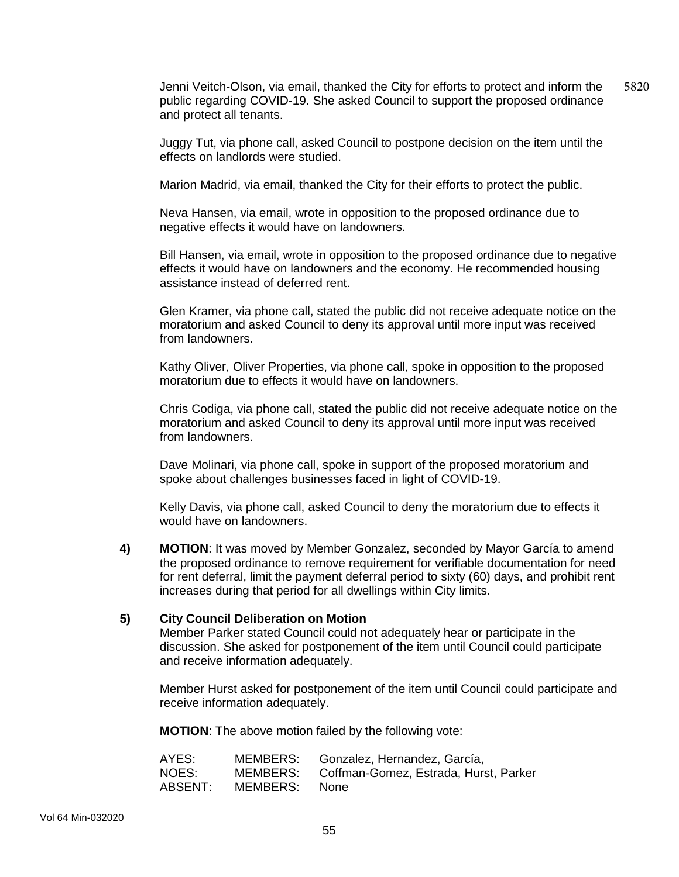Jenni Veitch-Olson, via email, thanked the City for efforts to protect and inform the public regarding COVID-19. She asked Council to support the proposed ordinance and protect all tenants. 5820

Juggy Tut, via phone call, asked Council to postpone decision on the item until the effects on landlords were studied.

Marion Madrid, via email, thanked the City for their efforts to protect the public.

Neva Hansen, via email, wrote in opposition to the proposed ordinance due to negative effects it would have on landowners.

Bill Hansen, via email, wrote in opposition to the proposed ordinance due to negative effects it would have on landowners and the economy. He recommended housing assistance instead of deferred rent.

Glen Kramer, via phone call, stated the public did not receive adequate notice on the moratorium and asked Council to deny its approval until more input was received from landowners.

Kathy Oliver, Oliver Properties, via phone call, spoke in opposition to the proposed moratorium due to effects it would have on landowners.

Chris Codiga, via phone call, stated the public did not receive adequate notice on the moratorium and asked Council to deny its approval until more input was received from landowners.

Dave Molinari, via phone call, spoke in support of the proposed moratorium and spoke about challenges businesses faced in light of COVID-19.

Kelly Davis, via phone call, asked Council to deny the moratorium due to effects it would have on landowners.

**4) MOTION**: It was moved by Member Gonzalez, seconded by Mayor García to amend the proposed ordinance to remove requirement for verifiable documentation for need for rent deferral, limit the payment deferral period to sixty (60) days, and prohibit rent increases during that period for all dwellings within City limits.

#### **5) City Council Deliberation on Motion**

Member Parker stated Council could not adequately hear or participate in the discussion. She asked for postponement of the item until Council could participate and receive information adequately.

Member Hurst asked for postponement of the item until Council could participate and receive information adequately.

**MOTION**: The above motion failed by the following vote:

| AYES:   | MEMBERS:      | Gonzalez, Hernandez, García,                   |
|---------|---------------|------------------------------------------------|
| NOES:   |               | MEMBERS: Coffman-Gomez, Estrada, Hurst, Parker |
| ABSENT: | MEMBERS: None |                                                |